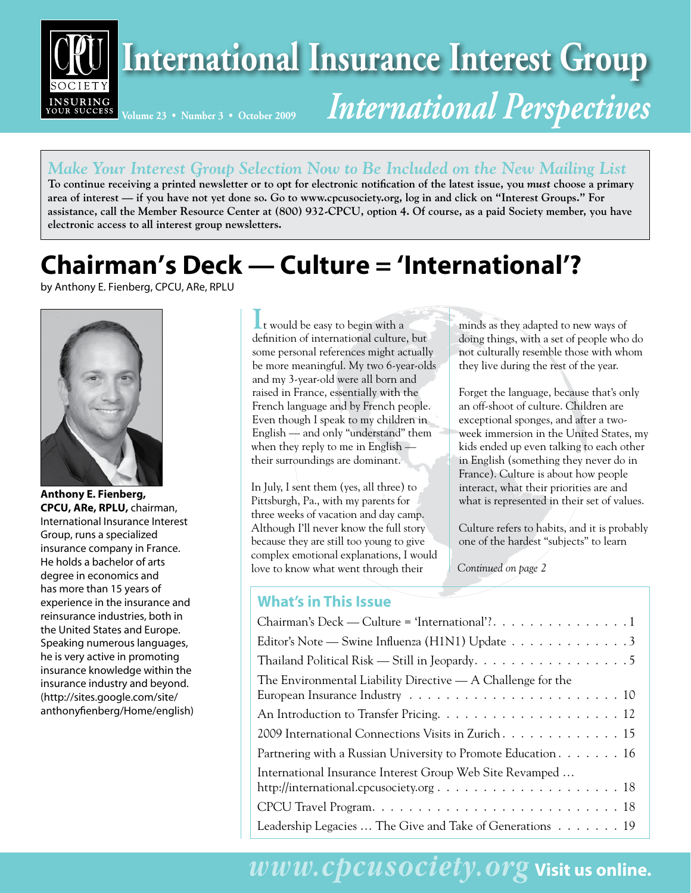

### *Make Your Interest Group Selection Now to Be Included on the New Mailing List*

**To continue receiving a printed newsletter or to opt for electronic notification of the latest issue, you** *must* **choose a primary area of interest –– if you have not yet done so. Go to www.cpcusociety.org, log in and click on "Interest Groups." For assistance, call the Member Resource Center at (800) 932-CPCU, option 4. Of course, as a paid Society member, you have electronic access to all interest group newsletters.**

## **Chairman's Deck — Culture = 'International'?**

by Anthony E. Fienberg, CPCU, ARe, RPLU



**Anthony E. Fienberg, CPCU, ARe, RPLU,** chairman, International Insurance Interest Group, runs a specialized insurance company in France. He holds a bachelor of arts degree in economics and has more than 15 years of experience in the insurance and reinsurance industries, both in the United States and Europe. Speaking numerous languages, he is very active in promoting insurance knowledge within the insurance industry and beyond. (http://sites.google.com/site/ anthonyfienberg/Home/english)

**I**t would be easy to begin with a definition of international culture, but some personal references might actually be more meaningful. My two 6-year-olds and my 3-year-old were all born and raised in France, essentially with the French language and by French people. Even though I speak to my children in English — and only "understand" them when they reply to me in English their surroundings are dominant.

In July, I sent them (yes, all three) to Pittsburgh, Pa., with my parents for three weeks of vacation and day camp. Although I'll never know the full story because they are still too young to give complex emotional explanations, I would love to know what went through their

### **What's in This Issue**

minds as they adapted to new ways of doing things, with a set of people who do not culturally resemble those with whom they live during the rest of the year.

Forget the language, because that's only an off-shoot of culture. Children are exceptional sponges, and after a twoweek immersion in the United States, my kids ended up even talking to each other in English (something they never do in France). Culture is about how people interact, what their priorities are and what is represented in their set of values.

Culture refers to habits, and it is probably one of the hardest "subjects" to learn

*Continued on page 2*

| what's in This issue                                                                                                                              |
|---------------------------------------------------------------------------------------------------------------------------------------------------|
| Chairman's Deck — Culture = 'International'?. $\dots \dots \dots \dots \dots \dots$                                                               |
| Editor's Note — Swine Influenza (H1N1) Update $\ldots \ldots \ldots \ldots$                                                                       |
| Thailand Political Risk — Still in Jeopardy. $\dots \dots \dots \dots \dots \dots \dots$                                                          |
| The Environmental Liability Directive $-$ A Challenge for the<br>European Insurance Industry $\dots\dots\dots\dots\dots\dots\dots\dots\dots\dots$ |
| An Introduction to Transfer Pricing. $\dots \dots \dots \dots \dots \dots \dots \dots \dots \dots$                                                |
| 2009 International Connections Visits in Zurich. 15                                                                                               |
| Partnering with a Russian University to Promote Education $\dots \dots \dots 16$                                                                  |
| International Insurance Interest Group Web Site Revamped                                                                                          |
|                                                                                                                                                   |
| Leadership Legacies  The Give and Take of Generations $\dots \dots \dots$                                                                         |
|                                                                                                                                                   |

## *www.cpcusociety.org* **Visit us online.**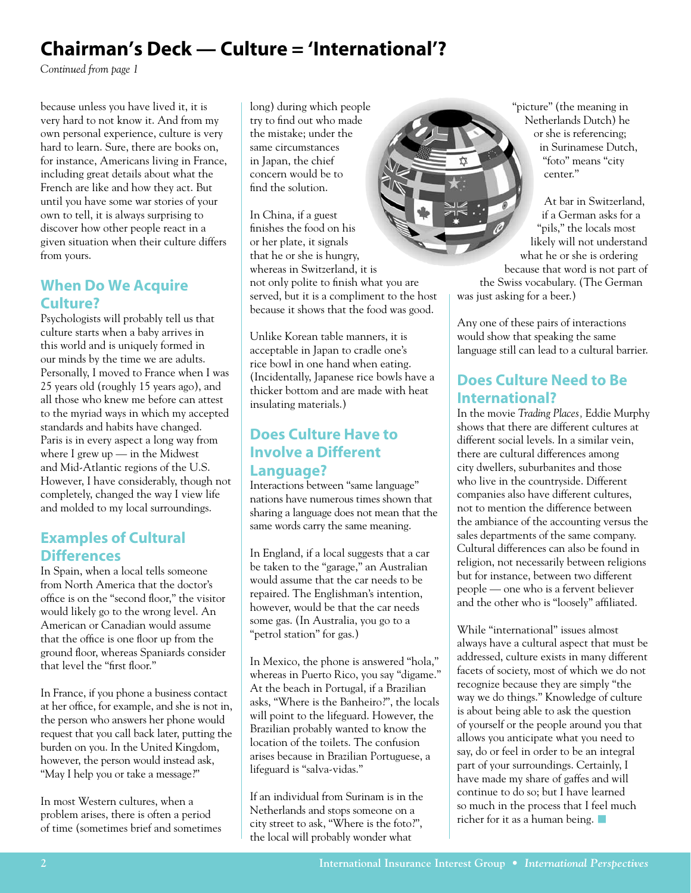## **Chairman's Deck — Culture = 'International'?**

*Continued from page 1*

because unless you have lived it, it is very hard to not know it. And from my own personal experience, culture is very hard to learn. Sure, there are books on, for instance, Americans living in France, including great details about what the French are like and how they act. But until you have some war stories of your own to tell, it is always surprising to discover how other people react in a given situation when their culture differs from yours.

### **When Do We Acquire Culture?**

Psychologists will probably tell us that culture starts when a baby arrives in this world and is uniquely formed in our minds by the time we are adults. Personally, I moved to France when I was 25 years old (roughly 15 years ago), and all those who knew me before can attest to the myriad ways in which my accepted standards and habits have changed. Paris is in every aspect a long way from where I grew up — in the Midwest and Mid-Atlantic regions of the U.S. However, I have considerably, though not completely, changed the way I view life and molded to my local surroundings.

### **Examples of Cultural Differences**

In Spain, when a local tells someone from North America that the doctor's office is on the "second floor," the visitor would likely go to the wrong level. An American or Canadian would assume that the office is one floor up from the ground floor, whereas Spaniards consider that level the "first floor."

In France, if you phone a business contact at her office, for example, and she is not in, the person who answers her phone would request that you call back later, putting the burden on you. In the United Kingdom, however, the person would instead ask, "May I help you or take a message?"

In most Western cultures, when a problem arises, there is often a period of time (sometimes brief and sometimes long) during which people try to find out who made the mistake; under the same circumstances in Japan, the chief concern would be to find the solution.

In China, if a guest finishes the food on his or her plate, it signals that he or she is hungry, whereas in Switzerland, it is not only polite to finish what you are served, but it is a compliment to the host because it shows that the food was good.

Unlike Korean table manners, it is acceptable in Japan to cradle one's rice bowl in one hand when eating. (Incidentally, Japanese rice bowls have a thicker bottom and are made with heat insulating materials.)

### **Does Culture Have to Involve a Different Language?**

Interactions between "same language" nations have numerous times shown that sharing a language does not mean that the same words carry the same meaning.

In England, if a local suggests that a car be taken to the "garage," an Australian would assume that the car needs to be repaired. The Englishman's intention, however, would be that the car needs some gas. (In Australia, you go to a "petrol station" for gas.)

In Mexico, the phone is answered "hola," whereas in Puerto Rico, you say "digame." At the beach in Portugal, if a Brazilian asks, "Where is the Banheiro?", the locals will point to the lifeguard. However, the Brazilian probably wanted to know the location of the toilets. The confusion arises because in Brazilian Portuguese, a lifeguard is "salva-vidas."

If an individual from Surinam is in the Netherlands and stops someone on a city street to ask, "Where is the foto?", the local will probably wonder what

"picture" (the meaning in Netherlands Dutch) he or she is referencing; in Surinamese Dutch, "foto" means "city center."

At bar in Switzerland, if a German asks for a "pils," the locals most likely will not understand what he or she is ordering because that word is not part of the Swiss vocabulary. (The German was just asking for a beer.)

Any one of these pairs of interactions would show that speaking the same language still can lead to a cultural barrier.

### **Does Culture Need to Be International?**

In the movie *Trading Places,* Eddie Murphy shows that there are different cultures at different social levels. In a similar vein, there are cultural differences among city dwellers, suburbanites and those who live in the countryside. Different companies also have different cultures, not to mention the difference between the ambiance of the accounting versus the sales departments of the same company. Cultural differences can also be found in religion, not necessarily between religions but for instance, between two different people — one who is a fervent believer and the other who is "loosely" affiliated.

While "international" issues almost always have a cultural aspect that must be addressed, culture exists in many different facets of society, most of which we do not recognize because they are simply "the way we do things." Knowledge of culture is about being able to ask the question of yourself or the people around you that allows you anticipate what you need to say, do or feel in order to be an integral part of your surroundings. Certainly, I have made my share of gaffes and will continue to do so; but I have learned so much in the process that I feel much richer for it as a human being.  $\blacksquare$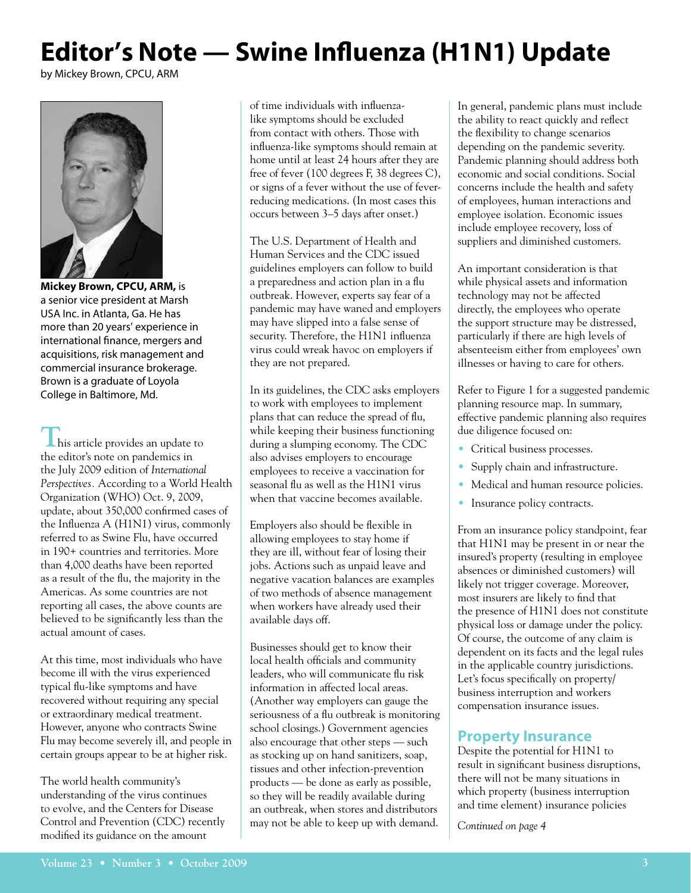# **Editor's Note — Swine Influenza (H1N1) Update**

by Mickey Brown, CPCU, ARM



**Mickey Brown, CPCU, ARM,** is a senior vice president at Marsh USA Inc. in Atlanta, Ga. He has more than 20 years' experience in international finance, mergers and acquisitions, risk management and commercial insurance brokerage. Brown is a graduate of Loyola College in Baltimore, Md.

**This article provides an update to** the editor's note on pandemics in the July 2009 edition of *International Perspectives.* According to a World Health Organization (WHO) Oct. 9, 2009, update, about 350,000 confirmed cases of the Influenza A (H1N1) virus, commonly referred to as Swine Flu, have occurred in 190+ countries and territories. More than 4,000 deaths have been reported as a result of the flu, the majority in the Americas. As some countries are not reporting all cases, the above counts are believed to be significantly less than the actual amount of cases.

At this time, most individuals who have become ill with the virus experienced typical flu-like symptoms and have recovered without requiring any special or extraordinary medical treatment. However, anyone who contracts Swine Flu may become severely ill, and people in certain groups appear to be at higher risk.

The world health community's understanding of the virus continues to evolve, and the Centers for Disease Control and Prevention (CDC) recently modified its guidance on the amount

of time individuals with influenzalike symptoms should be excluded from contact with others. Those with influenza-like symptoms should remain at home until at least 24 hours after they are free of fever (100 degrees F, 38 degrees C), or signs of a fever without the use of feverreducing medications. (In most cases this occurs between 3–5 days after onset.)

The U.S. Department of Health and Human Services and the CDC issued guidelines employers can follow to build a preparedness and action plan in a flu outbreak. However, experts say fear of a pandemic may have waned and employers may have slipped into a false sense of security. Therefore, the H1N1 influenza virus could wreak havoc on employers if they are not prepared.

In its guidelines, the CDC asks employers to work with employees to implement plans that can reduce the spread of flu, while keeping their business functioning during a slumping economy. The CDC also advises employers to encourage employees to receive a vaccination for seasonal flu as well as the H1N1 virus when that vaccine becomes available.

Employers also should be flexible in allowing employees to stay home if they are ill, without fear of losing their jobs. Actions such as unpaid leave and negative vacation balances are examples of two methods of absence management when workers have already used their available days off.

Businesses should get to know their local health officials and community leaders, who will communicate flu risk information in affected local areas. (Another way employers can gauge the seriousness of a flu outbreak is monitoring school closings.) Government agencies also encourage that other steps — such as stocking up on hand sanitizers, soap, tissues and other infection-prevention products — be done as early as possible, so they will be readily available during an outbreak, when stores and distributors may not be able to keep up with demand.

In general, pandemic plans must include the ability to react quickly and reflect the flexibility to change scenarios depending on the pandemic severity. Pandemic planning should address both economic and social conditions. Social concerns include the health and safety of employees, human interactions and employee isolation. Economic issues include employee recovery, loss of suppliers and diminished customers.

An important consideration is that while physical assets and information technology may not be affected directly, the employees who operate the support structure may be distressed, particularly if there are high levels of absenteeism either from employees' own illnesses or having to care for others.

Refer to Figure 1 for a suggested pandemic planning resource map. In summary, effective pandemic planning also requires due diligence focused on:

- Critical business processes.
- Supply chain and infrastructure.
- Medical and human resource policies.
- Insurance policy contracts.

From an insurance policy standpoint, fear that H1N1 may be present in or near the insured's property (resulting in employee absences or diminished customers) will likely not trigger coverage. Moreover, most insurers are likely to find that the presence of H1N1 does not constitute physical loss or damage under the policy. Of course, the outcome of any claim is dependent on its facts and the legal rules in the applicable country jurisdictions. Let's focus specifically on property/ business interruption and workers compensation insurance issues.

#### **Property Insurance**

Despite the potential for H1N1 to result in significant business disruptions, there will not be many situations in which property (business interruption and time element) insurance policies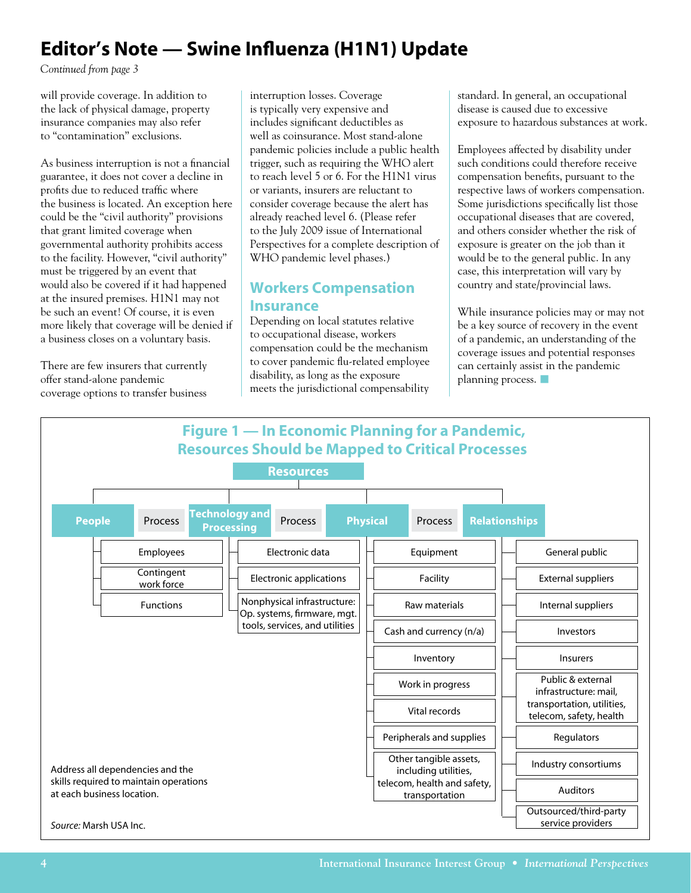## **Editor's Note — Swine Influenza (H1N1) Update**

*Continued from page 3*

will provide coverage. In addition to the lack of physical damage, property insurance companies may also refer to "contamination" exclusions.

As business interruption is not a financial guarantee, it does not cover a decline in profits due to reduced traffic where the business is located. An exception here could be the "civil authority" provisions that grant limited coverage when governmental authority prohibits access to the facility. However, "civil authority" must be triggered by an event that would also be covered if it had happened at the insured premises. H1N1 may not be such an event! Of course, it is even more likely that coverage will be denied if a business closes on a voluntary basis.

There are few insurers that currently offer stand-alone pandemic coverage options to transfer business

interruption losses. Coverage is typically very expensive and includes significant deductibles as well as coinsurance. Most stand-alone pandemic policies include a public health trigger, such as requiring the WHO alert to reach level 5 or 6. For the H1N1 virus or variants, insurers are reluctant to consider coverage because the alert has already reached level 6. (Please refer to the July 2009 issue of International Perspectives for a complete description of WHO pandemic level phases.)

### **Workers Compensation Insurance**

Depending on local statutes relative to occupational disease, workers compensation could be the mechanism to cover pandemic flu-related employee disability, as long as the exposure meets the jurisdictional compensability

standard. In general, an occupational disease is caused due to excessive exposure to hazardous substances at work.

Employees affected by disability under such conditions could therefore receive compensation benefits, pursuant to the respective laws of workers compensation. Some jurisdictions specifically list those occupational diseases that are covered, and others consider whether the risk of exposure is greater on the job than it would be to the general public. In any case, this interpretation will vary by country and state/provincial laws.

While insurance policies may or may not be a key source of recovery in the event of a pandemic, an understanding of the coverage issues and potential responses can certainly assist in the pandemic planning process.  $\Box$ 

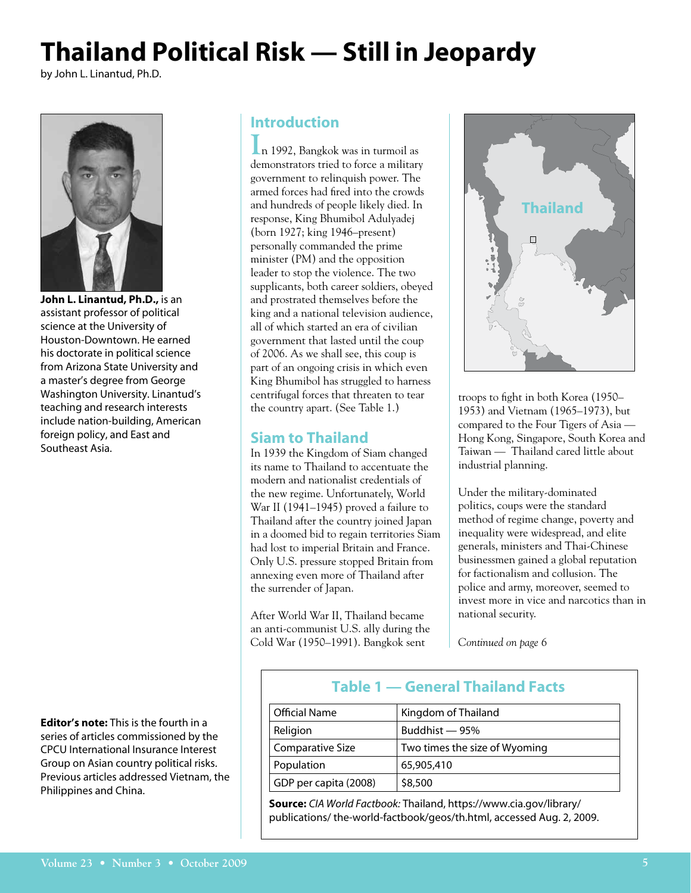# **Thailand Political Risk — Still in Jeopardy**

by John L. Linantud, Ph.D.

![](_page_4_Picture_2.jpeg)

**John L. Linantud, Ph.D.,** is an assistant professor of political science at the University of Houston-Downtown. He earned his doctorate in political science from Arizona State University and a master's degree from George Washington University. Linantud's teaching and research interests include nation-building, American foreign policy, and East and Southeast Asia.

**Editor's note:** This is the fourth in a series of articles commissioned by the CPCU International Insurance Interest Group on Asian country political risks. Previous articles addressed Vietnam, the Philippines and China.

### **Introduction**

**I**n 1992, Bangkok was in turmoil as demonstrators tried to force a military government to relinquish power. The armed forces had fired into the crowds and hundreds of people likely died. In response, King Bhumibol Adulyadej (born 1927; king 1946–present) personally commanded the prime minister (PM) and the opposition leader to stop the violence. The two supplicants, both career soldiers, obeyed and prostrated themselves before the king and a national television audience, all of which started an era of civilian government that lasted until the coup of 2006. As we shall see, this coup is part of an ongoing crisis in which even King Bhumibol has struggled to harness centrifugal forces that threaten to tear the country apart. (See Table 1.)

### **Siam to Thailand**

In 1939 the Kingdom of Siam changed its name to Thailand to accentuate the modern and nationalist credentials of the new regime. Unfortunately, World War II (1941–1945) proved a failure to Thailand after the country joined Japan in a doomed bid to regain territories Siam had lost to imperial Britain and France. Only U.S. pressure stopped Britain from annexing even more of Thailand after the surrender of Japan.

After World War II, Thailand became an anti-communist U.S. ally during the Cold War (1950–1991). Bangkok sent

![](_page_4_Picture_10.jpeg)

troops to fight in both Korea (1950– 1953) and Vietnam (1965–1973), but compared to the Four Tigers of Asia — Hong Kong, Singapore, South Korea and Taiwan — Thailand cared little about industrial planning.

Under the military-dominated politics, coups were the standard method of regime change, poverty and inequality were widespread, and elite generals, ministers and Thai-Chinese businessmen gained a global reputation for factionalism and collusion. The police and army, moreover, seemed to invest more in vice and narcotics than in national security.

*Continued on page 6*

### **Table 1 — General Thailand Facts**

| <b>Official Name</b>    | Kingdom of Thailand           |
|-------------------------|-------------------------------|
| Religion                | Buddhist — 95%                |
| <b>Comparative Size</b> | Two times the size of Wyoming |
| Population              | 65,905,410                    |
| GDP per capita (2008)   | \$8,500                       |

**Source:** *CIA World Factbook:* Thailand, https://www.cia.gov/library/ publications/ the-world-factbook/geos/th.html, accessed Aug. 2, 2009.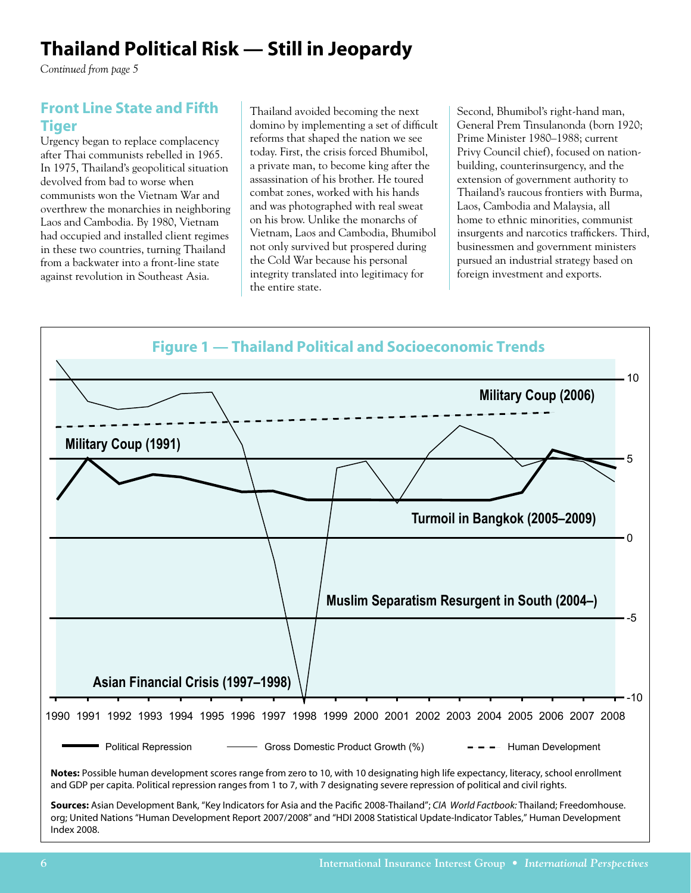### **Thailand Political Risk — Still in Jeopardy**

*Continued from page 5*

### **Front Line State and Fifth Tiger**

Urgency began to replace complacency after Thai communists rebelled in 1965. In 1975, Thailand's geopolitical situation devolved from bad to worse when communists won the Vietnam War and overthrew the monarchies in neighboring Laos and Cambodia. By 1980, Vietnam had occupied and installed client regimes in these two countries, turning Thailand from a backwater into a front-line state against revolution in Southeast Asia.

Thailand avoided becoming the next domino by implementing a set of difficult reforms that shaped the nation we see today. First, the crisis forced Bhumibol, a private man, to become king after the assassination of his brother. He toured combat zones, worked with his hands and was photographed with real sweat on his brow. Unlike the monarchs of Vietnam, Laos and Cambodia, Bhumibol not only survived but prospered during the Cold War because his personal integrity translated into legitimacy for the entire state.

Second, Bhumibol's right-hand man, General Prem Tinsulanonda (born 1920; Prime Minister 1980–1988; current Privy Council chief), focused on nationbuilding, counterinsurgency, and the extension of government authority to Thailand's raucous frontiers with Burma, Laos, Cambodia and Malaysia, all home to ethnic minorities, communist insurgents and narcotics traffickers. Third, businessmen and government ministers pursued an industrial strategy based on foreign investment and exports.

![](_page_5_Figure_6.jpeg)

Index 2008.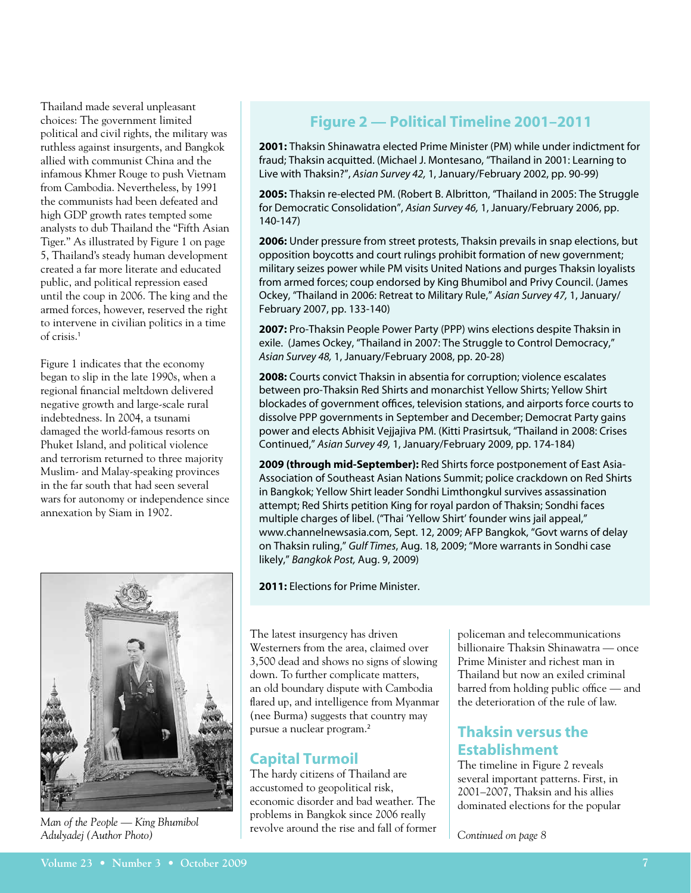Thailand made several unpleasant choices: The government limited political and civil rights, the military was ruthless against insurgents, and Bangkok allied with communist China and the infamous Khmer Rouge to push Vietnam from Cambodia. Nevertheless, by 1991 the communists had been defeated and high GDP growth rates tempted some analysts to dub Thailand the "Fifth Asian Tiger." As illustrated by Figure 1 on page 5, Thailand's steady human development created a far more literate and educated public, and political repression eased until the coup in 2006. The king and the armed forces, however, reserved the right to intervene in civilian politics in a time of crisis.<sup>1</sup>

Figure 1 indicates that the economy began to slip in the late 1990s, when a regional financial meltdown delivered negative growth and large-scale rural indebtedness. In 2004, a tsunami damaged the world-famous resorts on Phuket Island, and political violence and terrorism returned to three majority Muslim- and Malay-speaking provinces in the far south that had seen several wars for autonomy or independence since annexation by Siam in 1902.

![](_page_6_Picture_2.jpeg)

*Man of the People — King Bhumibol Adulyadej (Author Photo)*

### **Figure 2 — Political Timeline 2001–2011**

**2001:** Thaksin Shinawatra elected Prime Minister (PM) while under indictment for fraud; Thaksin acquitted. (Michael J. Montesano, "Thailand in 2001: Learning to Live with Thaksin?", *Asian Survey 42,* 1, January/February 2002, pp. 90-99)

**2005:** Thaksin re-elected PM. (Robert B. Albritton, "Thailand in 2005: The Struggle for Democratic Consolidation", *Asian Survey 46,* 1, January/February 2006, pp. 140-147)

**2006:** Under pressure from street protests, Thaksin prevails in snap elections, but opposition boycotts and court rulings prohibit formation of new government; military seizes power while PM visits United Nations and purges Thaksin loyalists from armed forces; coup endorsed by King Bhumibol and Privy Council. (James Ockey, "Thailand in 2006: Retreat to Military Rule," *Asian Survey 47,* 1, January/ February 2007, pp. 133-140)

**2007:** Pro-Thaksin People Power Party (PPP) wins elections despite Thaksin in exile. (James Ockey, "Thailand in 2007: The Struggle to Control Democracy," *Asian Survey 48,* 1, January/February 2008, pp. 20-28)

**2008:** Courts convict Thaksin in absentia for corruption; violence escalates between pro-Thaksin Red Shirts and monarchist Yellow Shirts; Yellow Shirt blockades of government offices, television stations, and airports force courts to dissolve PPP governments in September and December; Democrat Party gains power and elects Abhisit Vejjajiva PM. (Kitti Prasirtsuk, "Thailand in 2008: Crises Continued," *Asian Survey 49,* 1, January/February 2009, pp. 174-184)

**2009 (through mid-September):** Red Shirts force postponement of East Asia-Association of Southeast Asian Nations Summit; police crackdown on Red Shirts in Bangkok; Yellow Shirt leader Sondhi Limthongkul survives assassination attempt; Red Shirts petition King for royal pardon of Thaksin; Sondhi faces multiple charges of libel. ("Thai 'Yellow Shirt' founder wins jail appeal," www.channelnewsasia.com, Sept. 12, 2009; AFP Bangkok, "Govt warns of delay on Thaksin ruling," *Gulf Times*, Aug. 18, 2009; "More warrants in Sondhi case likely," *Bangkok Post,* Aug. 9, 2009)

**2011:** Elections for Prime Minister.

The latest insurgency has driven Westerners from the area, claimed over 3,500 dead and shows no signs of slowing down. To further complicate matters, an old boundary dispute with Cambodia flared up, and intelligence from Myanmar (nee Burma) suggests that country may pursue a nuclear program.<sup>2</sup>

### **Capital Turmoil**

The hardy citizens of Thailand are accustomed to geopolitical risk, economic disorder and bad weather. The problems in Bangkok since 2006 really revolve around the rise and fall of former policeman and telecommunications billionaire Thaksin Shinawatra — once Prime Minister and richest man in Thailand but now an exiled criminal barred from holding public office — and the deterioration of the rule of law.

### **Thaksin versus the Establishment**

The timeline in Figure 2 reveals several important patterns. First, in 2001–2007, Thaksin and his allies dominated elections for the popular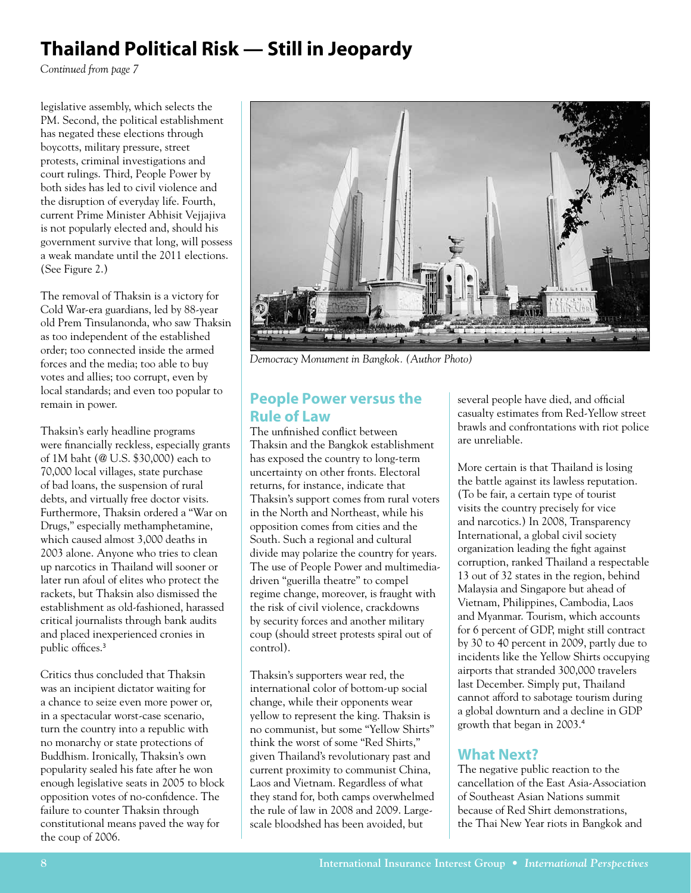## **Thailand Political Risk — Still in Jeopardy**

*Continued from page 7*

legislative assembly, which selects the PM. Second, the political establishment has negated these elections through boycotts, military pressure, street protests, criminal investigations and court rulings. Third, People Power by both sides has led to civil violence and the disruption of everyday life. Fourth, current Prime Minister Abhisit Vejjajiva is not popularly elected and, should his government survive that long, will possess a weak mandate until the 2011 elections. (See Figure 2.)

The removal of Thaksin is a victory for Cold War-era guardians, led by 88-year old Prem Tinsulanonda, who saw Thaksin as too independent of the established order; too connected inside the armed forces and the media; too able to buy votes and allies; too corrupt, even by local standards; and even too popular to remain in power.

Thaksin's early headline programs were financially reckless, especially grants of 1M baht (@ U.S. \$30,000) each to 70,000 local villages, state purchase of bad loans, the suspension of rural debts, and virtually free doctor visits. Furthermore, Thaksin ordered a "War on Drugs," especially methamphetamine, which caused almost 3,000 deaths in 2003 alone. Anyone who tries to clean up narcotics in Thailand will sooner or later run afoul of elites who protect the rackets, but Thaksin also dismissed the establishment as old-fashioned, harassed critical journalists through bank audits and placed inexperienced cronies in public offices.<sup>3</sup>

Critics thus concluded that Thaksin was an incipient dictator waiting for a chance to seize even more power or, in a spectacular worst-case scenario, turn the country into a republic with no monarchy or state protections of Buddhism. Ironically, Thaksin's own popularity sealed his fate after he won enough legislative seats in 2005 to block opposition votes of no-confidence. The failure to counter Thaksin through constitutional means paved the way for the coup of 2006.

![](_page_7_Picture_6.jpeg)

*Democracy Monument in Bangkok. (Author Photo)*

### **People Power versus the Rule of Law**

The unfinished conflict between Thaksin and the Bangkok establishment has exposed the country to long-term uncertainty on other fronts. Electoral returns, for instance, indicate that Thaksin's support comes from rural voters in the North and Northeast, while his opposition comes from cities and the South. Such a regional and cultural divide may polarize the country for years. The use of People Power and multimediadriven "guerilla theatre" to compel regime change, moreover, is fraught with the risk of civil violence, crackdowns by security forces and another military coup (should street protests spiral out of control).

Thaksin's supporters wear red, the international color of bottom-up social change, while their opponents wear yellow to represent the king. Thaksin is no communist, but some "Yellow Shirts" think the worst of some "Red Shirts," given Thailand's revolutionary past and current proximity to communist China, Laos and Vietnam. Regardless of what they stand for, both camps overwhelmed the rule of law in 2008 and 2009. Largescale bloodshed has been avoided, but

several people have died, and official casualty estimates from Red-Yellow street brawls and confrontations with riot police are unreliable.

More certain is that Thailand is losing the battle against its lawless reputation. (To be fair, a certain type of tourist visits the country precisely for vice and narcotics.) In 2008, Transparency International, a global civil society organization leading the fight against corruption, ranked Thailand a respectable 13 out of 32 states in the region, behind Malaysia and Singapore but ahead of Vietnam, Philippines, Cambodia, Laos and Myanmar. Tourism, which accounts for 6 percent of GDP, might still contract by 30 to 40 percent in 2009, partly due to incidents like the Yellow Shirts occupying airports that stranded 300,000 travelers last December. Simply put, Thailand cannot afford to sabotage tourism during a global downturn and a decline in GDP growth that began in 2003.<sup>4</sup>

### **What Next?**

The negative public reaction to the cancellation of the East Asia-Association of Southeast Asian Nations summit because of Red Shirt demonstrations, the Thai New Year riots in Bangkok and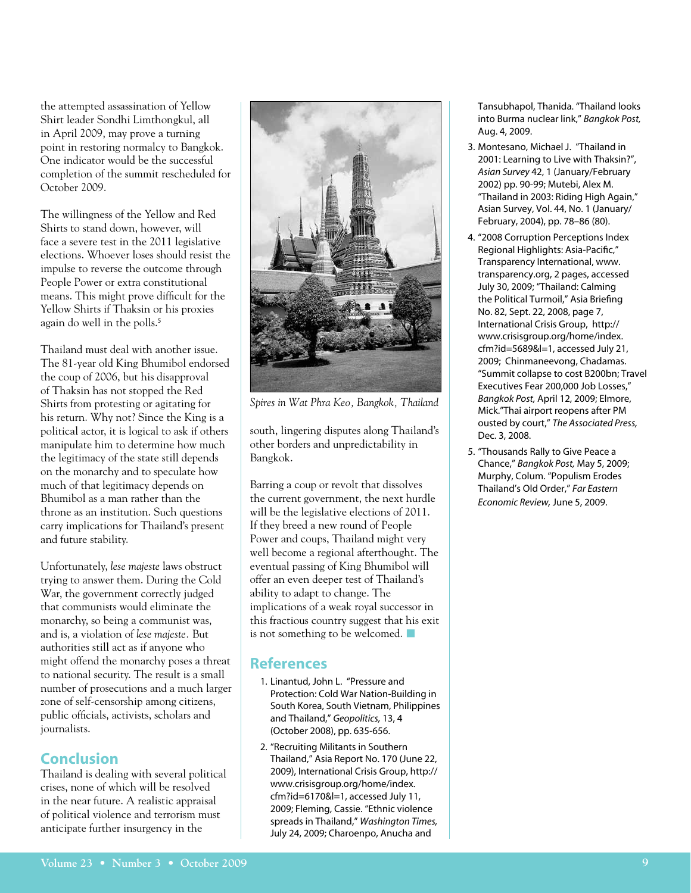the attempted assassination of Yellow Shirt leader Sondhi Limthongkul, all in April 2009, may prove a turning point in restoring normalcy to Bangkok. One indicator would be the successful completion of the summit rescheduled for October 2009.

The willingness of the Yellow and Red Shirts to stand down, however, will face a severe test in the 2011 legislative elections. Whoever loses should resist the impulse to reverse the outcome through People Power or extra constitutional means. This might prove difficult for the Yellow Shirts if Thaksin or his proxies again do well in the polls.<sup>5</sup>

Thailand must deal with another issue. The 81-year old King Bhumibol endorsed the coup of 2006, but his disapproval of Thaksin has not stopped the Red Shirts from protesting or agitating for his return. Why not? Since the King is a political actor, it is logical to ask if others manipulate him to determine how much the legitimacy of the state still depends on the monarchy and to speculate how much of that legitimacy depends on Bhumibol as a man rather than the throne as an institution. Such questions carry implications for Thailand's present and future stability.

Unfortunately, *lese majeste* laws obstruct trying to answer them. During the Cold War, the government correctly judged that communists would eliminate the monarchy, so being a communist was, and is, a violation of *lese majeste.* But authorities still act as if anyone who might offend the monarchy poses a threat to national security. The result is a small number of prosecutions and a much larger zone of self-censorship among citizens, public officials, activists, scholars and journalists.

### **Conclusion**

Thailand is dealing with several political crises, none of which will be resolved in the near future. A realistic appraisal of political violence and terrorism must anticipate further insurgency in the

![](_page_8_Picture_6.jpeg)

*Spires in Wat Phra Keo, Bangkok, Thailand*

south, lingering disputes along Thailand's other borders and unpredictability in Bangkok.

Barring a coup or revolt that dissolves the current government, the next hurdle will be the legislative elections of 2011. If they breed a new round of People Power and coups, Thailand might very well become a regional afterthought. The eventual passing of King Bhumibol will offer an even deeper test of Thailand's ability to adapt to change. The implications of a weak royal successor in this fractious country suggest that his exit is not something to be welcomed.  $\blacksquare$ 

### **References**

- 1. Linantud, John L. "Pressure and Protection: Cold War Nation-Building in South Korea, South Vietnam, Philippines and Thailand," *Geopolitics,* 13, 4 (October 2008), pp. 635-656.
- 2. "Recruiting Militants in Southern Thailand," Asia Report No. 170 (June 22, 2009), International Crisis Group, http:// www.crisisgroup.org/home/index. cfm?id=6170&l=1, accessed July 11, 2009; Fleming, Cassie. "Ethnic violence spreads in Thailand," *Washington Times,* July 24, 2009; Charoenpo, Anucha and

Tansubhapol, Thanida. "Thailand looks into Burma nuclear link," *Bangkok Post,* Aug. 4, 2009.

- 3. Montesano, Michael J. "Thailand in 2001: Learning to Live with Thaksin?", *Asian Survey* 42, 1 (January/February 2002) pp. 90-99; Mutebi, Alex M. "Thailand in 2003: Riding High Again," Asian Survey, Vol. 44, No. 1 (January/ February, 2004), pp. 78–86 (80).
- 4. "2008 Corruption Perceptions Index Regional Highlights: Asia-Pacific," Transparency International, www. transparency.org, 2 pages, accessed July 30, 2009; "Thailand: Calming the Political Turmoil," Asia Briefing No. 82, Sept. 22, 2008, page 7, International Crisis Group, http:// www.crisisgroup.org/home/index. cfm?id=5689&l=1, accessed July 21, 2009; Chinmaneevong, Chadamas. "Summit collapse to cost B200bn; Travel Executives Fear 200,000 Job Losses," *Bangkok Post,* April 12, 2009; Elmore, Mick."Thai airport reopens after PM ousted by court," *The Associated Press,* Dec. 3, 2008.
- 5. "Thousands Rally to Give Peace a Chance," *Bangkok Post,* May 5, 2009; Murphy, Colum. "Populism Erodes Thailand's Old Order," *Far Eastern Economic Review,* June 5, 2009.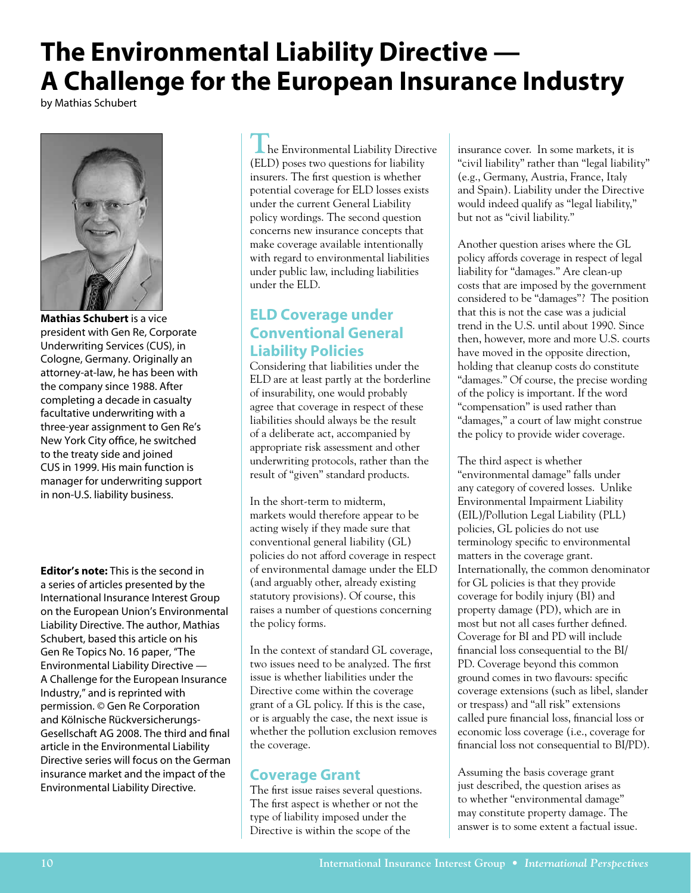## **The Environmental Liability Directive — A Challenge for the European Insurance Industry**

by Mathias Schubert

![](_page_9_Picture_2.jpeg)

**Mathias Schubert** is a vice president with Gen Re, Corporate Underwriting Services (CUS), in Cologne, Germany. Originally an attorney-at-law, he has been with the company since 1988. After completing a decade in casualty facultative underwriting with a three-year assignment to Gen Re's New York City office, he switched to the treaty side and joined CUS in 1999. His main function is manager for underwriting support in non-U.S. liability business.

**Editor's note:** This is the second in a series of articles presented by the International Insurance Interest Group on the European Union's Environmental Liability Directive. The author, Mathias Schubert, based this article on his Gen Re Topics No. 16 paper, "The Environmental Liability Directive — A Challenge for the European Insurance Industry," and is reprinted with permission. © Gen Re Corporation and Kölnische Rückversicherungs-Gesellschaft AG 2008. The third and final article in the Environmental Liability Directive series will focus on the German insurance market and the impact of the Environmental Liability Directive.

**The Environmental Liability Directive** (ELD) poses two questions for liability insurers. The first question is whether potential coverage for ELD losses exists under the current General Liability policy wordings. The second question concerns new insurance concepts that make coverage available intentionally with regard to environmental liabilities under public law, including liabilities under the ELD.

### **ELD Coverage under Conventional General Liability Policies**

Considering that liabilities under the ELD are at least partly at the borderline of insurability, one would probably agree that coverage in respect of these liabilities should always be the result of a deliberate act, accompanied by appropriate risk assessment and other underwriting protocols, rather than the result of "given" standard products.

In the short-term to midterm, markets would therefore appear to be acting wisely if they made sure that conventional general liability (GL) policies do not afford coverage in respect of environmental damage under the ELD (and arguably other, already existing statutory provisions). Of course, this raises a number of questions concerning the policy forms.

In the context of standard GL coverage, two issues need to be analyzed. The first issue is whether liabilities under the Directive come within the coverage grant of a GL policy. If this is the case, or is arguably the case, the next issue is whether the pollution exclusion removes the coverage.

### **Coverage Grant**

The first issue raises several questions. The first aspect is whether or not the type of liability imposed under the Directive is within the scope of the

insurance cover. In some markets, it is "civil liability" rather than "legal liability" (e.g., Germany, Austria, France, Italy and Spain). Liability under the Directive would indeed qualify as "legal liability," but not as "civil liability."

Another question arises where the GL policy affords coverage in respect of legal liability for "damages." Are clean-up costs that are imposed by the government considered to be "damages"? The position that this is not the case was a judicial trend in the U.S. until about 1990. Since then, however, more and more U.S. courts have moved in the opposite direction, holding that cleanup costs do constitute "damages." Of course, the precise wording of the policy is important. If the word "compensation" is used rather than "damages," a court of law might construe the policy to provide wider coverage.

The third aspect is whether "environmental damage" falls under any category of covered losses. Unlike Environmental Impairment Liability (EIL)/Pollution Legal Liability (PLL) policies, GL policies do not use terminology specific to environmental matters in the coverage grant. Internationally, the common denominator for GL policies is that they provide coverage for bodily injury (BI) and property damage (PD), which are in most but not all cases further defined. Coverage for BI and PD will include financial loss consequential to the BI/ PD. Coverage beyond this common ground comes in two flavours: specific coverage extensions (such as libel, slander or trespass) and "all risk" extensions called pure financial loss, financial loss or economic loss coverage (i.e., coverage for financial loss not consequential to BI/PD).

Assuming the basis coverage grant just described, the question arises as to whether "environmental damage" may constitute property damage. The answer is to some extent a factual issue.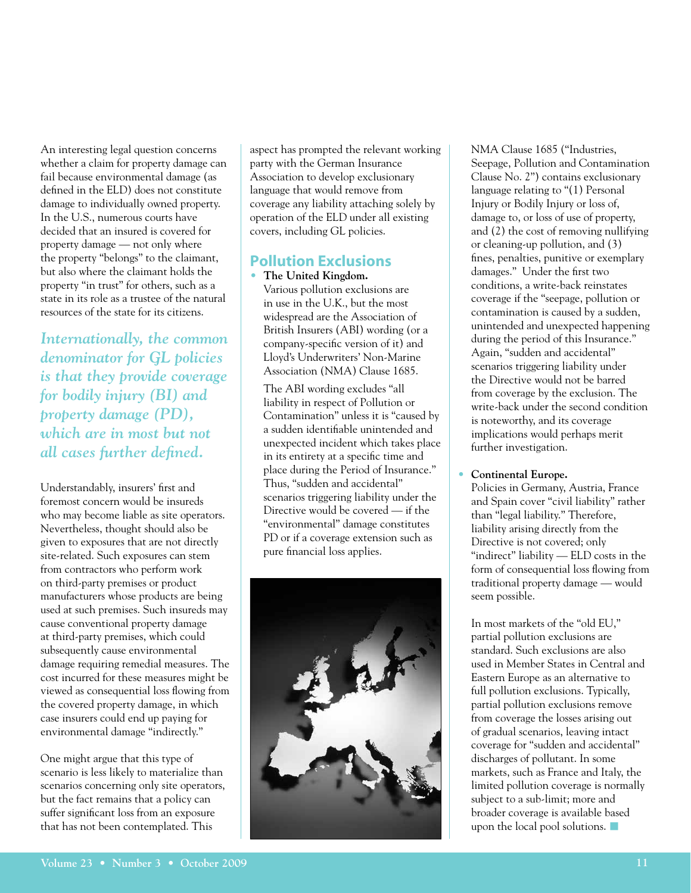An interesting legal question concerns whether a claim for property damage can fail because environmental damage (as defined in the ELD) does not constitute damage to individually owned property. In the U.S., numerous courts have decided that an insured is covered for property damage — not only where the property "belongs" to the claimant, but also where the claimant holds the property "in trust" for others, such as a state in its role as a trustee of the natural resources of the state for its citizens.

*Internationally, the common denominator for GL policies is that they provide coverage for bodily injury (BI) and property damage (PD), which are in most but not all cases further defined.*

Understandably, insurers' first and foremost concern would be insureds who may become liable as site operators. Nevertheless, thought should also be given to exposures that are not directly site-related. Such exposures can stem from contractors who perform work on third-party premises or product manufacturers whose products are being used at such premises. Such insureds may cause conventional property damage at third-party premises, which could subsequently cause environmental damage requiring remedial measures. The cost incurred for these measures might be viewed as consequential loss flowing from the covered property damage, in which case insurers could end up paying for environmental damage "indirectly."

One might argue that this type of scenario is less likely to materialize than scenarios concerning only site operators, but the fact remains that a policy can suffer significant loss from an exposure that has not been contemplated. This

aspect has prompted the relevant working party with the German Insurance Association to develop exclusionary language that would remove from coverage any liability attaching solely by operation of the ELD under all existing covers, including GL policies.

#### **Pollution Exclusions**

• **The United Kingdom.**

Various pollution exclusions are in use in the U.K., but the most widespread are the Association of British Insurers (ABI) wording (or a company-specific version of it) and Lloyd's Underwriters' Non-Marine Association (NMA) Clause 1685.

 The ABI wording excludes "all liability in respect of Pollution or Contamination" unless it is "caused by a sudden identifiable unintended and unexpected incident which takes place in its entirety at a specific time and place during the Period of Insurance." Thus, "sudden and accidental" scenarios triggering liability under the Directive would be covered — if the "environmental" damage constitutes PD or if a coverage extension such as pure financial loss applies.

![](_page_10_Picture_9.jpeg)

 NMA Clause 1685 ("Industries, Seepage, Pollution and Contamination Clause No. 2") contains exclusionary language relating to "(1) Personal Injury or Bodily Injury or loss of, damage to, or loss of use of property, and (2) the cost of removing nullifying or cleaning-up pollution, and (3) fines, penalties, punitive or exemplary damages." Under the first two conditions, a write-back reinstates coverage if the "seepage, pollution or contamination is caused by a sudden, unintended and unexpected happening during the period of this Insurance." Again, "sudden and accidental" scenarios triggering liability under the Directive would not be barred from coverage by the exclusion. The write-back under the second condition is noteworthy, and its coverage implications would perhaps merit further investigation.

#### • **Continental Europe.**

Policies in Germany, Austria, France and Spain cover "civil liability" rather than "legal liability." Therefore, liability arising directly from the Directive is not covered; only "indirect" liability — ELD costs in the form of consequential loss flowing from traditional property damage — would seem possible.

 In most markets of the "old EU," partial pollution exclusions are standard. Such exclusions are also used in Member States in Central and Eastern Europe as an alternative to full pollution exclusions. Typically, partial pollution exclusions remove from coverage the losses arising out of gradual scenarios, leaving intact coverage for "sudden and accidental" discharges of pollutant. In some markets, such as France and Italy, the limited pollution coverage is normally subject to a sub-limit; more and broader coverage is available based upon the local pool solutions.  $\blacksquare$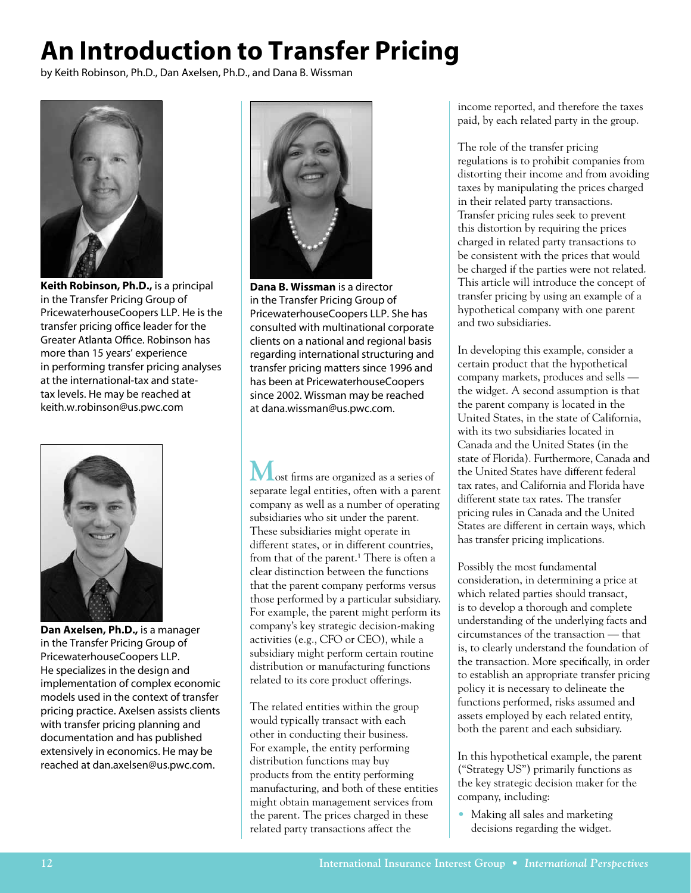# **An Introduction to Transfer Pricing**

by Keith Robinson, Ph.D., Dan Axelsen, Ph.D., and Dana B. Wissman

![](_page_11_Picture_2.jpeg)

**Keith Robinson, Ph.D.,** is a principal in the Transfer Pricing Group of PricewaterhouseCoopers LLP. He is the transfer pricing office leader for the Greater Atlanta Office. Robinson has more than 15 years' experience in performing transfer pricing analyses at the international-tax and statetax levels. He may be reached at keith.w.robinson@us.pwc.com

![](_page_11_Picture_4.jpeg)

**Dan Axelsen, Ph.D.,** is a manager in the Transfer Pricing Group of PricewaterhouseCoopers LLP. He specializes in the design and implementation of complex economic models used in the context of transfer pricing practice. Axelsen assists clients with transfer pricing planning and documentation and has published extensively in economics. He may be reached at dan.axelsen@us.pwc.com.

![](_page_11_Picture_6.jpeg)

**Dana B. Wissman** is a director in the Transfer Pricing Group of PricewaterhouseCoopers LLP. She has consulted with multinational corporate clients on a national and regional basis regarding international structuring and transfer pricing matters since 1996 and has been at PricewaterhouseCoopers since 2002. Wissman may be reached at dana.wissman@us.pwc.com.

**M**ost firms are organized as a series of separate legal entities, often with a parent company as well as a number of operating subsidiaries who sit under the parent. These subsidiaries might operate in different states, or in different countries, from that of the parent.<sup>1</sup> There is often a clear distinction between the functions that the parent company performs versus those performed by a particular subsidiary. For example, the parent might perform its company's key strategic decision-making activities (e.g., CFO or CEO), while a subsidiary might perform certain routine distribution or manufacturing functions related to its core product offerings.

The related entities within the group would typically transact with each other in conducting their business. For example, the entity performing distribution functions may buy products from the entity performing manufacturing, and both of these entities might obtain management services from the parent. The prices charged in these related party transactions affect the

income reported, and therefore the taxes paid, by each related party in the group.

The role of the transfer pricing regulations is to prohibit companies from distorting their income and from avoiding taxes by manipulating the prices charged in their related party transactions. Transfer pricing rules seek to prevent this distortion by requiring the prices charged in related party transactions to be consistent with the prices that would be charged if the parties were not related. This article will introduce the concept of transfer pricing by using an example of a hypothetical company with one parent and two subsidiaries.

In developing this example, consider a certain product that the hypothetical company markets, produces and sells the widget. A second assumption is that the parent company is located in the United States, in the state of California, with its two subsidiaries located in Canada and the United States (in the state of Florida). Furthermore, Canada and the United States have different federal tax rates, and California and Florida have different state tax rates. The transfer pricing rules in Canada and the United States are different in certain ways, which has transfer pricing implications.

Possibly the most fundamental consideration, in determining a price at which related parties should transact, is to develop a thorough and complete understanding of the underlying facts and circumstances of the transaction — that is, to clearly understand the foundation of the transaction. More specifically, in order to establish an appropriate transfer pricing policy it is necessary to delineate the functions performed, risks assumed and assets employed by each related entity, both the parent and each subsidiary.

In this hypothetical example, the parent ("Strategy US") primarily functions as the key strategic decision maker for the company, including:

• Making all sales and marketing decisions regarding the widget.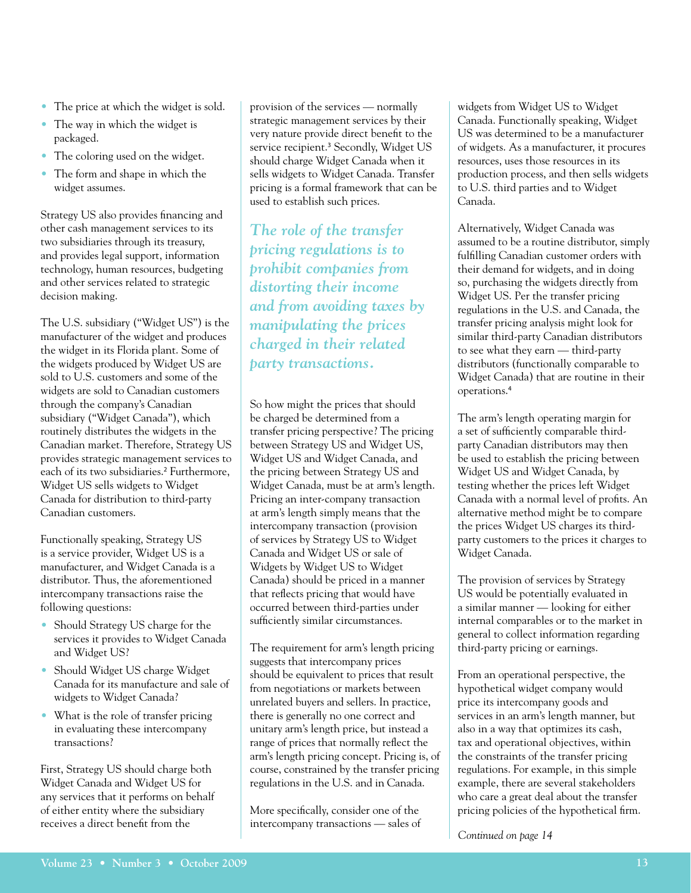- The price at which the widget is sold.
- The way in which the widget is packaged.
- The coloring used on the widget.
- The form and shape in which the widget assumes.

Strategy US also provides financing and other cash management services to its two subsidiaries through its treasury, and provides legal support, information technology, human resources, budgeting and other services related to strategic decision making.

The U.S. subsidiary ("Widget US") is the manufacturer of the widget and produces the widget in its Florida plant. Some of the widgets produced by Widget US are sold to U.S. customers and some of the widgets are sold to Canadian customers through the company's Canadian subsidiary ("Widget Canada"), which routinely distributes the widgets in the Canadian market. Therefore, Strategy US provides strategic management services to each of its two subsidiaries.<sup>2</sup> Furthermore, Widget US sells widgets to Widget Canada for distribution to third-party Canadian customers.

Functionally speaking, Strategy US is a service provider, Widget US is a manufacturer, and Widget Canada is a distributor. Thus, the aforementioned intercompany transactions raise the following questions:

- Should Strategy US charge for the services it provides to Widget Canada and Widget US?
- Should Widget US charge Widget Canada for its manufacture and sale of widgets to Widget Canada?
- What is the role of transfer pricing in evaluating these intercompany transactions?

First, Strategy US should charge both Widget Canada and Widget US for any services that it performs on behalf of either entity where the subsidiary receives a direct benefit from the

provision of the services — normally strategic management services by their very nature provide direct benefit to the service recipient.<sup>3</sup> Secondly, Widget US should charge Widget Canada when it sells widgets to Widget Canada. Transfer pricing is a formal framework that can be used to establish such prices.

*The role of the transfer pricing regulations is to prohibit companies from distorting their income and from avoiding taxes by manipulating the prices charged in their related party transactions.*

So how might the prices that should be charged be determined from a transfer pricing perspective? The pricing between Strategy US and Widget US, Widget US and Widget Canada, and the pricing between Strategy US and Widget Canada, must be at arm's length. Pricing an inter-company transaction at arm's length simply means that the intercompany transaction (provision of services by Strategy US to Widget Canada and Widget US or sale of Widgets by Widget US to Widget Canada) should be priced in a manner that reflects pricing that would have occurred between third-parties under sufficiently similar circumstances.

The requirement for arm's length pricing suggests that intercompany prices should be equivalent to prices that result from negotiations or markets between unrelated buyers and sellers. In practice, there is generally no one correct and unitary arm's length price, but instead a range of prices that normally reflect the arm's length pricing concept. Pricing is, of course, constrained by the transfer pricing regulations in the U.S. and in Canada.

More specifically, consider one of the intercompany transactions — sales of widgets from Widget US to Widget Canada. Functionally speaking, Widget US was determined to be a manufacturer of widgets. As a manufacturer, it procures resources, uses those resources in its production process, and then sells widgets to U.S. third parties and to Widget Canada.

Alternatively, Widget Canada was assumed to be a routine distributor, simply fulfilling Canadian customer orders with their demand for widgets, and in doing so, purchasing the widgets directly from Widget US. Per the transfer pricing regulations in the U.S. and Canada, the transfer pricing analysis might look for similar third-party Canadian distributors to see what they earn — third-party distributors (functionally comparable to Widget Canada) that are routine in their operations.<sup>4</sup>

The arm's length operating margin for a set of sufficiently comparable thirdparty Canadian distributors may then be used to establish the pricing between Widget US and Widget Canada, by testing whether the prices left Widget Canada with a normal level of profits. An alternative method might be to compare the prices Widget US charges its thirdparty customers to the prices it charges to Widget Canada.

The provision of services by Strategy US would be potentially evaluated in a similar manner — looking for either internal comparables or to the market in general to collect information regarding third-party pricing or earnings.

From an operational perspective, the hypothetical widget company would price its intercompany goods and services in an arm's length manner, but also in a way that optimizes its cash, tax and operational objectives, within the constraints of the transfer pricing regulations. For example, in this simple example, there are several stakeholders who care a great deal about the transfer pricing policies of the hypothetical firm.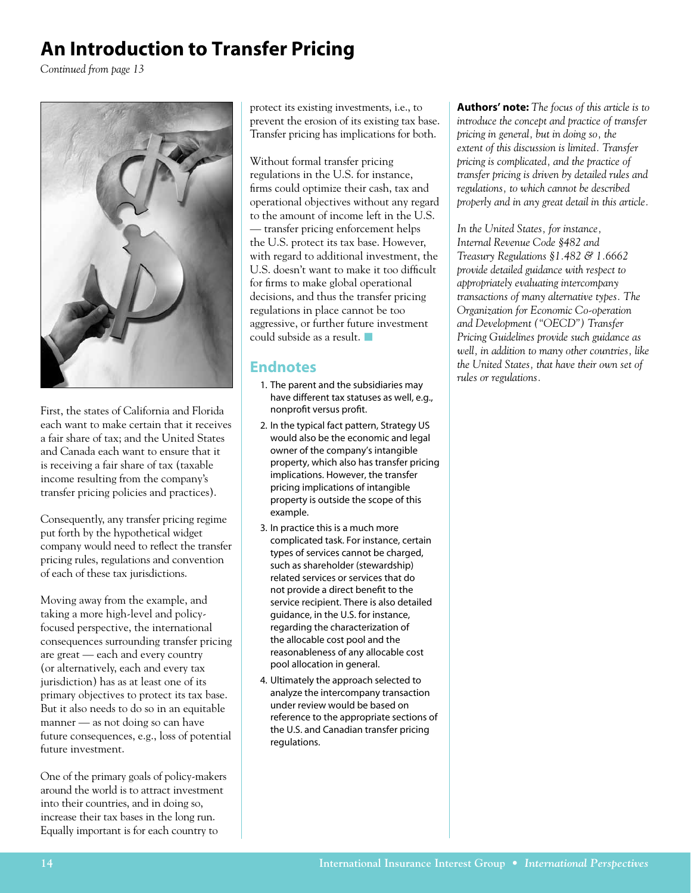## **An Introduction to Transfer Pricing**

*Continued from page 13*

![](_page_13_Picture_2.jpeg)

First, the states of California and Florida each want to make certain that it receives a fair share of tax; and the United States and Canada each want to ensure that it is receiving a fair share of tax (taxable income resulting from the company's transfer pricing policies and practices).

Consequently, any transfer pricing regime put forth by the hypothetical widget company would need to reflect the transfer pricing rules, regulations and convention of each of these tax jurisdictions.

Moving away from the example, and taking a more high-level and policyfocused perspective, the international consequences surrounding transfer pricing are great — each and every country (or alternatively, each and every tax jurisdiction) has as at least one of its primary objectives to protect its tax base. But it also needs to do so in an equitable manner — as not doing so can have future consequences, e.g., loss of potential future investment.

One of the primary goals of policy-makers around the world is to attract investment into their countries, and in doing so, increase their tax bases in the long run. Equally important is for each country to

protect its existing investments, i.e., to prevent the erosion of its existing tax base. Transfer pricing has implications for both.

Without formal transfer pricing regulations in the U.S. for instance, firms could optimize their cash, tax and operational objectives without any regard to the amount of income left in the U.S. — transfer pricing enforcement helps the U.S. protect its tax base. However, with regard to additional investment, the U.S. doesn't want to make it too difficult for firms to make global operational decisions, and thus the transfer pricing regulations in place cannot be too aggressive, or further future investment could subside as a result.  $\blacksquare$ 

### **Endnotes**

- 1. The parent and the subsidiaries may have different tax statuses as well, e.g., nonprofit versus profit.
- 2. In the typical fact pattern, Strategy US would also be the economic and legal owner of the company's intangible property, which also has transfer pricing implications. However, the transfer pricing implications of intangible property is outside the scope of this example.
- 3. In practice this is a much more complicated task. For instance, certain types of services cannot be charged, such as shareholder (stewardship) related services or services that do not provide a direct benefit to the service recipient. There is also detailed guidance, in the U.S. for instance, regarding the characterization of the allocable cost pool and the reasonableness of any allocable cost pool allocation in general.
- 4. Ultimately the approach selected to analyze the intercompany transaction under review would be based on reference to the appropriate sections of the U.S. and Canadian transfer pricing regulations.

**Authors' note:** *The focus of this article is to introduce the concept and practice of transfer pricing in general, but in doing so, the extent of this discussion is limited. Transfer pricing is complicated, and the practice of transfer pricing is driven by detailed rules and regulations, to which cannot be described properly and in any great detail in this article.*

*In the United States, for instance, Internal Revenue Code §482 and Treasury Regulations §1.482 & 1.6662 provide detailed guidance with respect to appropriately evaluating intercompany transactions of many alternative types. The Organization for Economic Co-operation and Development ("OECD") Transfer Pricing Guidelines provide such guidance as well, in addition to many other countries, like the United States, that have their own set of rules or regulations.*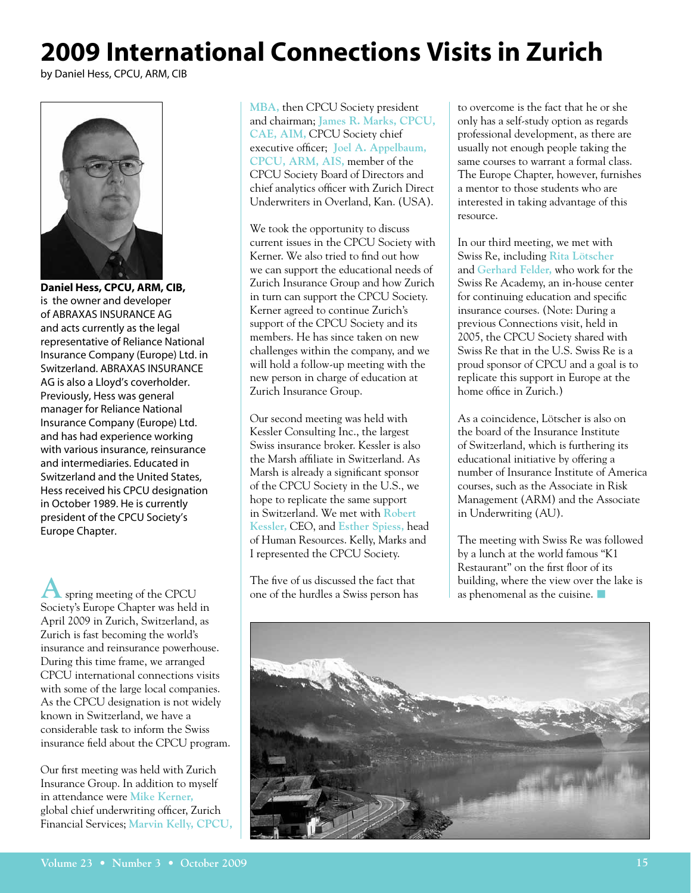## **2009 International Connections Visits in Zurich**

by Daniel Hess, CPCU, ARM, CIB

![](_page_14_Picture_2.jpeg)

**Daniel Hess, CPCU, ARM, CIB,**  is the owner and developer of ABRAXAS INSURANCE AG and acts currently as the legal representative of Reliance National Insurance Company (Europe) Ltd. in Switzerland. ABRAXAS INSURANCE AG is also a Lloyd's coverholder. Previously, Hess was general manager for Reliance National Insurance Company (Europe) Ltd. and has had experience working with various insurance, reinsurance and intermediaries. Educated in Switzerland and the United States, Hess received his CPCU designation in October 1989. He is currently president of the CPCU Society's Europe Chapter.

**A** spring meeting of the CPCU Society's Europe Chapter was held in April 2009 in Zurich, Switzerland, as Zurich is fast becoming the world's insurance and reinsurance powerhouse. During this time frame, we arranged CPCU international connections visits with some of the large local companies. As the CPCU designation is not widely known in Switzerland, we have a considerable task to inform the Swiss insurance field about the CPCU program.

Our first meeting was held with Zurich Insurance Group. In addition to myself in attendance were **Mike Kerner,** global chief underwriting officer, Zurich Financial Services; **Marvin Kelly, CPCU,**  **MBA,** then CPCU Society president and chairman; **James R. Marks, CPCU, CAE, AIM,** CPCU Society chief executive officer; **Joel A. Appelbaum, CPCU, ARM, AIS,** member of the CPCU Society Board of Directors and chief analytics officer with Zurich Direct Underwriters in Overland, Kan. (USA).

We took the opportunity to discuss current issues in the CPCU Society with Kerner. We also tried to find out how we can support the educational needs of Zurich Insurance Group and how Zurich in turn can support the CPCU Society. Kerner agreed to continue Zurich's support of the CPCU Society and its members. He has since taken on new challenges within the company, and we will hold a follow-up meeting with the new person in charge of education at Zurich Insurance Group.

Our second meeting was held with Kessler Consulting Inc., the largest Swiss insurance broker. Kessler is also the Marsh affiliate in Switzerland. As Marsh is already a significant sponsor of the CPCU Society in the U.S., we hope to replicate the same support in Switzerland. We met with **Robert Kessler,** CEO, and **Esther Spiess,** head of Human Resources. Kelly, Marks and I represented the CPCU Society.

The five of us discussed the fact that one of the hurdles a Swiss person has to overcome is the fact that he or she only has a self-study option as regards professional development, as there are usually not enough people taking the same courses to warrant a formal class. The Europe Chapter, however, furnishes a mentor to those students who are interested in taking advantage of this resource.

In our third meeting, we met with Swiss Re, including **Rita Lötscher**  and **Gerhard Felder,** who work for the Swiss Re Academy, an in-house center for continuing education and specific insurance courses. (Note: During a previous Connections visit, held in 2005, the CPCU Society shared with Swiss Re that in the U.S. Swiss Re is a proud sponsor of CPCU and a goal is to replicate this support in Europe at the home office in Zurich.)

As a coincidence, Lötscher is also on the board of the Insurance Institute of Switzerland, which is furthering its educational initiative by offering a number of Insurance Institute of America courses, such as the Associate in Risk Management (ARM) and the Associate in Underwriting (AU).

The meeting with Swiss Re was followed by a lunch at the world famous "K1 Restaurant" on the first floor of its building, where the view over the lake is as phenomenal as the cuisine.  $\blacksquare$ 

![](_page_14_Picture_14.jpeg)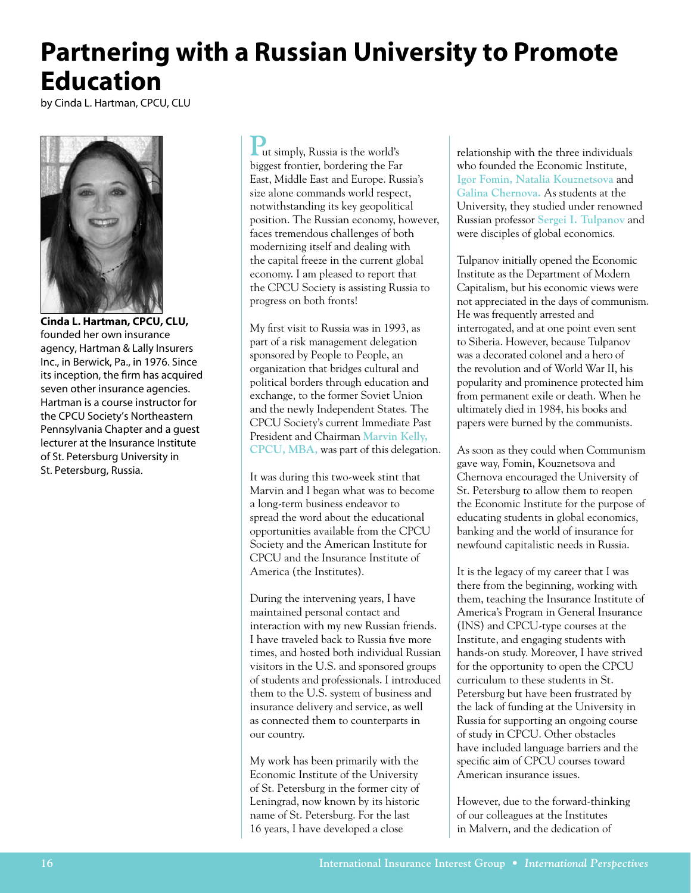## **Partnering with a Russian University to Promote Education**

by Cinda L. Hartman, CPCU, CLU

![](_page_15_Picture_2.jpeg)

**Cinda L. Hartman, CPCU, CLU,** founded her own insurance agency, Hartman & Lally Insurers Inc., in Berwick, Pa., in 1976. Since its inception, the firm has acquired seven other insurance agencies. Hartman is a course instructor for the CPCU Society's Northeastern Pennsylvania Chapter and a guest lecturer at the Insurance Institute of St. Petersburg University in St. Petersburg, Russia.

**P**ut simply, Russia is the world's biggest frontier, bordering the Far East, Middle East and Europe. Russia's size alone commands world respect, notwithstanding its key geopolitical position. The Russian economy, however, faces tremendous challenges of both modernizing itself and dealing with the capital freeze in the current global economy. I am pleased to report that the CPCU Society is assisting Russia to progress on both fronts!

My first visit to Russia was in 1993, as part of a risk management delegation sponsored by People to People, an organization that bridges cultural and political borders through education and exchange, to the former Soviet Union and the newly Independent States. The CPCU Society's current Immediate Past President and Chairman **Marvin Kelly, CPCU, MBA,** was part of this delegation.

It was during this two-week stint that Marvin and I began what was to become a long-term business endeavor to spread the word about the educational opportunities available from the CPCU Society and the American Institute for CPCU and the Insurance Institute of America (the Institutes).

During the intervening years, I have maintained personal contact and interaction with my new Russian friends. I have traveled back to Russia five more times, and hosted both individual Russian visitors in the U.S. and sponsored groups of students and professionals. I introduced them to the U.S. system of business and insurance delivery and service, as well as connected them to counterparts in our country.

My work has been primarily with the Economic Institute of the University of St. Petersburg in the former city of Leningrad, now known by its historic name of St. Petersburg. For the last 16 years, I have developed a close

relationship with the three individuals who founded the Economic Institute, **Igor Fomin, Natalia Kouznetsova** and **Galina Chernova.** As students at the University, they studied under renowned Russian professor **Sergei I. Tulpanov** and were disciples of global economics.

Tulpanov initially opened the Economic Institute as the Department of Modern Capitalism, but his economic views were not appreciated in the days of communism. He was frequently arrested and interrogated, and at one point even sent to Siberia. However, because Tulpanov was a decorated colonel and a hero of the revolution and of World War II, his popularity and prominence protected him from permanent exile or death. When he ultimately died in 1984, his books and papers were burned by the communists.

As soon as they could when Communism gave way, Fomin, Kouznetsova and Chernova encouraged the University of St. Petersburg to allow them to reopen the Economic Institute for the purpose of educating students in global economics, banking and the world of insurance for newfound capitalistic needs in Russia.

It is the legacy of my career that I was there from the beginning, working with them, teaching the Insurance Institute of America's Program in General Insurance (INS) and CPCU-type courses at the Institute, and engaging students with hands-on study. Moreover, I have strived for the opportunity to open the CPCU curriculum to these students in St. Petersburg but have been frustrated by the lack of funding at the University in Russia for supporting an ongoing course of study in CPCU. Other obstacles have included language barriers and the specific aim of CPCU courses toward American insurance issues.

However, due to the forward-thinking of our colleagues at the Institutes in Malvern, and the dedication of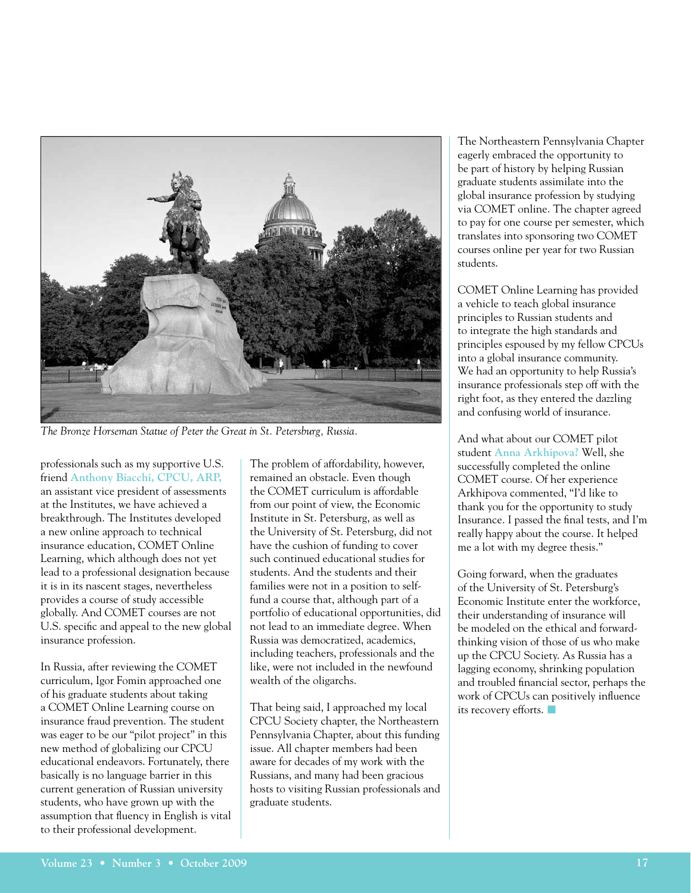![](_page_16_Picture_0.jpeg)

*The Bronze Horseman Statue of Peter the Great in St. Petersburg, Russia.*

professionals such as my supportive U.S. friend **Anthony Biacchi, CPCU, ARP,** an assistant vice president of assessments at the Institutes, we have achieved a breakthrough. The Institutes developed a new online approach to technical insurance education, COMET Online Learning, which although does not yet lead to a professional designation because it is in its nascent stages, nevertheless provides a course of study accessible globally. And COMET courses are not U.S. specific and appeal to the new global insurance profession.

In Russia, after reviewing the COMET curriculum, Igor Fomin approached one of his graduate students about taking a COMET Online Learning course on insurance fraud prevention. The student was eager to be our "pilot project" in this new method of globalizing our CPCU educational endeavors. Fortunately, there basically is no language barrier in this current generation of Russian university students, who have grown up with the assumption that fluency in English is vital to their professional development.

The problem of affordability, however, remained an obstacle. Even though the COMET curriculum is affordable from our point of view, the Economic Institute in St. Petersburg, as well as the University of St. Petersburg, did not have the cushion of funding to cover such continued educational studies for students. And the students and their families were not in a position to selffund a course that, although part of a portfolio of educational opportunities, did not lead to an immediate degree. When Russia was democratized, academics, including teachers, professionals and the like, were not included in the newfound wealth of the oligarchs.

That being said, I approached my local CPCU Society chapter, the Northeastern Pennsylvania Chapter, about this funding issue. All chapter members had been aware for decades of my work with the Russians, and many had been gracious hosts to visiting Russian professionals and graduate students.

The Northeastern Pennsylvania Chapter eagerly embraced the opportunity to be part of history by helping Russian graduate students assimilate into the global insurance profession by studying via COMET online. The chapter agreed to pay for one course per semester, which translates into sponsoring two COMET courses online per year for two Russian students.

COMET Online Learning has provided a vehicle to teach global insurance principles to Russian students and to integrate the high standards and principles espoused by my fellow CPCUs into a global insurance community. We had an opportunity to help Russia's insurance professionals step off with the right foot, as they entered the dazzling and confusing world of insurance.

And what about our COMET pilot student **Anna Arkhipova?** Well, she successfully completed the online COMET course. Of her experience Arkhipova commented, "I'd like to thank you for the opportunity to study Insurance. I passed the final tests, and I'm really happy about the course. It helped me a lot with my degree thesis."

Going forward, when the graduates of the University of St. Petersburg's Economic Institute enter the workforce, their understanding of insurance will be modeled on the ethical and forwardthinking vision of those of us who make up the CPCU Society. As Russia has a lagging economy, shrinking population and troubled financial sector, perhaps the work of CPCUs can positively influence its recovery efforts.  $\blacksquare$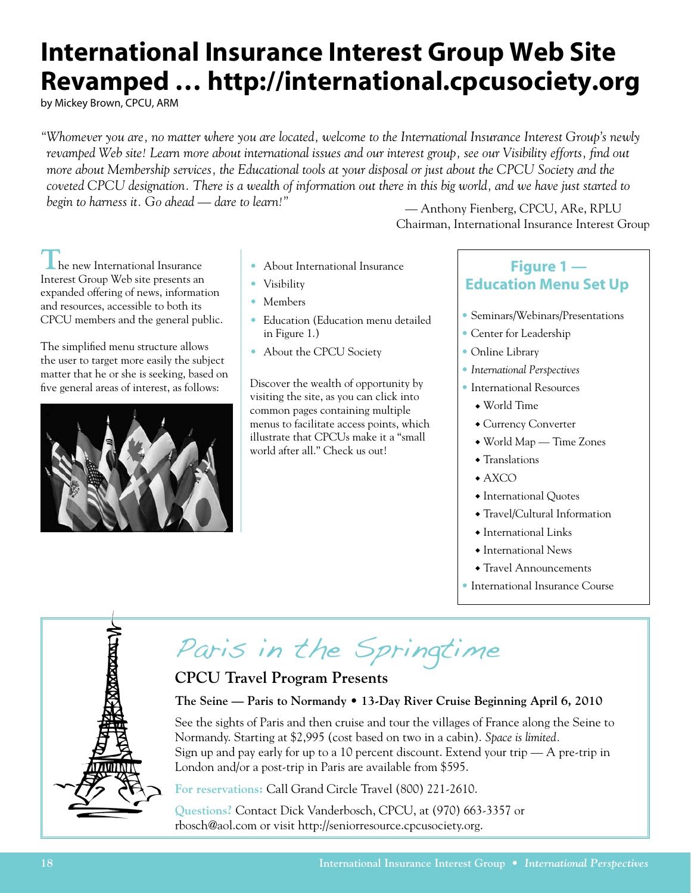## **International Insurance Interest Group Web Site Revamped … http://international.cpcusociety.org**

by Mickey Brown, CPCU, ARM

*"Whomever you are, no matter where you are located, welcome to the International Insurance Interest Group's newly revamped Web site! Learn more about international issues and our interest group, see our Visibility efforts, find out more about Membership services, the Educational tools at your disposal or just about the CPCU Society and the coveted CPCU designation. There is a wealth of information out there in this big world, and we have just started to begin to harness it. Go ahead — dare to learn!"* 

Chairman, International Insurance Interest Group *—* Anthony Fienberg, CPCU, ARe, RPLU

**The new International Insurance** Interest Group Web site presents an expanded offering of news, information and resources, accessible to both its CPCU members and the general public.

The simplified menu structure allows the user to target more easily the subject matter that he or she is seeking, based on five general areas of interest, as follows:

![](_page_17_Picture_6.jpeg)

- About International Insurance
- Visibility
- Members
- Education (Education menu detailed in Figure 1.)
- About the CPCU Society

Discover the wealth of opportunity by visiting the site, as you can click into common pages containing multiple menus to facilitate access points, which illustrate that CPCUs make it a "small world after all." Check us out!

### **Figure 1 — Education Menu Set Up**

- Seminars/Webinars/Presentations
- Center for Leadership
- Online Library
- *International Perspectives*
- International Resources
	- $\bullet$  World Time
	- Currency Converter
	- $\bullet$  World Map Time Zones
	- $\triangle$  Translations
	- $\triangle$  AXCO
	- International Quotes
	- Travel/Cultural Information
	- $\triangle$  International Links
	- $\triangle$  International News
	- $\triangle$  Travel Announcements
- International Insurance Course

![](_page_17_Picture_30.jpeg)

# Paris in the Springtime

### **CPCU Travel Program Presents**

#### **The Seine — Paris to Normandy • 13-Day River Cruise Beginning April 6, 2010**

See the sights of Paris and then cruise and tour the villages of France along the Seine to Normandy. Starting at \$2,995 (cost based on two in a cabin). *Space is limited.*  Sign up and pay early for up to a 10 percent discount. Extend your trip — A pre-trip in London and/or a post-trip in Paris are available from \$595.

**For reservations:** Call Grand Circle Travel (800) 221-2610.

**Questions?** Contact Dick Vanderbosch, CPCU, at (970) 663-3357 or rbosch@aol.com or visit http://seniorresource.cpcusociety.org.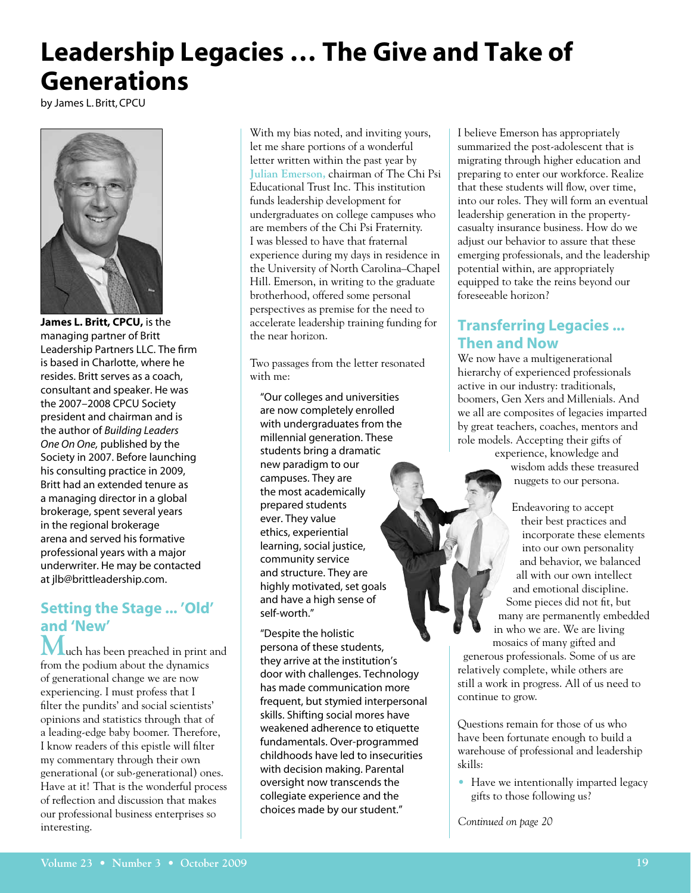## **Leadership Legacies … The Give and Take of Generations**

by James L. Britt, CPCU

![](_page_18_Picture_2.jpeg)

**James L. Britt, CPCU,** is the managing partner of Britt Leadership Partners LLC. The firm is based in Charlotte, where he resides. Britt serves as a coach, consultant and speaker. He was the 2007–2008 CPCU Society president and chairman and is the author of *Building Leaders One On One,* published by the Society in 2007. Before launching his consulting practice in 2009, Britt had an extended tenure as a managing director in a global brokerage, spent several years in the regional brokerage arena and served his formative professional years with a major underwriter. He may be contacted at jlb@brittleadership.com.

### **Setting the Stage ... 'Old' and 'New'**

**M**uch has been preached in print and from the podium about the dynamics of generational change we are now experiencing. I must profess that I filter the pundits' and social scientists' opinions and statistics through that of a leading-edge baby boomer. Therefore, I know readers of this epistle will filter my commentary through their own generational (or sub-generational) ones. Have at it! That is the wonderful process of reflection and discussion that makes our professional business enterprises so interesting.

With my bias noted, and inviting yours, let me share portions of a wonderful letter written within the past year by **Julian Emerson,** chairman of The Chi Psi Educational Trust Inc. This institution funds leadership development for undergraduates on college campuses who are members of the Chi Psi Fraternity. I was blessed to have that fraternal experience during my days in residence in the University of North Carolina–Chapel Hill. Emerson, in writing to the graduate brotherhood, offered some personal perspectives as premise for the need to accelerate leadership training funding for the near horizon.

Two passages from the letter resonated with me:

"Our colleges and universities are now completely enrolled with undergraduates from the millennial generation. These students bring a dramatic new paradigm to our campuses. They are the most academically prepared students ever. They value ethics, experiential learning, social justice, community service and structure. They are highly motivated, set goals and have a high sense of self-worth."

"Despite the holistic persona of these students, they arrive at the institution's door with challenges. Technology has made communication more frequent, but stymied interpersonal skills. Shifting social mores have weakened adherence to etiquette fundamentals. Over-programmed childhoods have led to insecurities with decision making. Parental oversight now transcends the collegiate experience and the choices made by our student."

I believe Emerson has appropriately summarized the post-adolescent that is migrating through higher education and preparing to enter our workforce. Realize that these students will flow, over time, into our roles. They will form an eventual leadership generation in the propertycasualty insurance business. How do we adjust our behavior to assure that these emerging professionals, and the leadership potential within, are appropriately equipped to take the reins beyond our foreseeable horizon?

### **Transferring Legacies ... Then and Now**

We now have a multigenerational hierarchy of experienced professionals active in our industry: traditionals, boomers, Gen Xers and Millenials. And we all are composites of legacies imparted by great teachers, coaches, mentors and role models. Accepting their gifts of experience, knowledge and

wisdom adds these treasured nuggets to our persona.

Endeavoring to accept their best practices and incorporate these elements into our own personality and behavior, we balanced all with our own intellect and emotional discipline. Some pieces did not fit, but many are permanently embedded in who we are. We are living mosaics of many gifted and

generous professionals. Some of us are relatively complete, while others are still a work in progress. All of us need to continue to grow.

Questions remain for those of us who have been fortunate enough to build a warehouse of professional and leadership skills:

• Have we intentionally imparted legacy gifts to those following us?